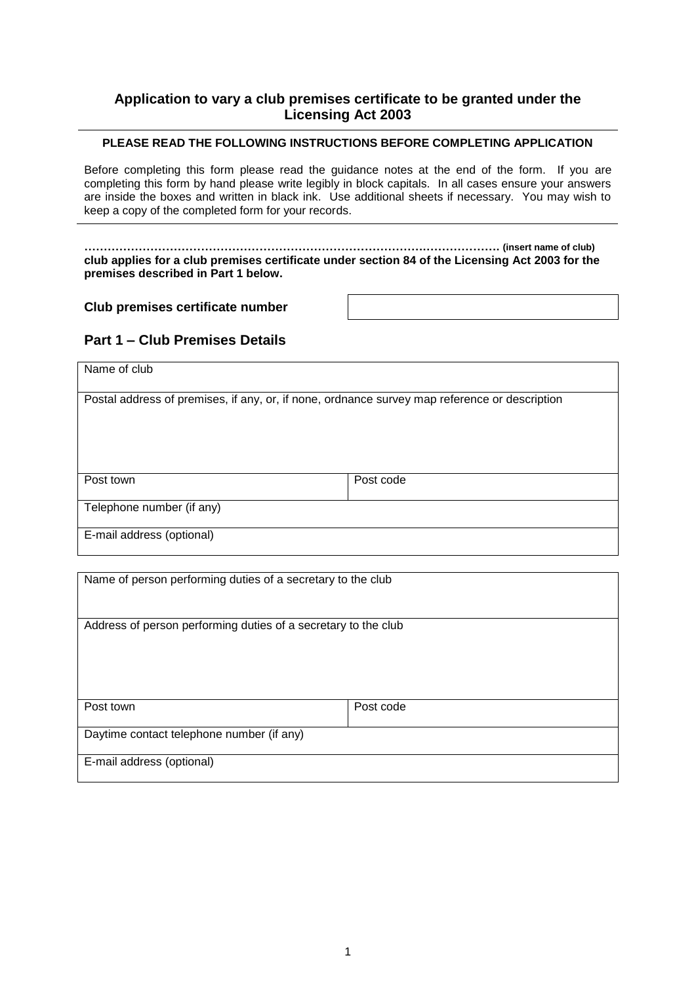### **Application to vary a club premises certificate to be granted under the Licensing Act 2003**

#### **PLEASE READ THE FOLLOWING INSTRUCTIONS BEFORE COMPLETING APPLICATION**

Before completing this form please read the guidance notes at the end of the form. If you are completing this form by hand please write legibly in block capitals. In all cases ensure your answers are inside the boxes and written in black ink. Use additional sheets if necessary. You may wish to keep a copy of the completed form for your records.

**…………………………………………………………………………….………………. (insert name of club) club applies for a club premises certificate under section 84 of the Licensing Act 2003 for the premises described in Part 1 below.**

#### **Club premises certificate number**

### **Part 1 – Club Premises Details**

| Name of club              |                                                                                               |
|---------------------------|-----------------------------------------------------------------------------------------------|
|                           | Postal address of premises, if any, or, if none, ordnance survey map reference or description |
| Post town                 | Post code                                                                                     |
| Telephone number (if any) |                                                                                               |
| E-mail address (optional) |                                                                                               |

| Name of person performing duties of a secretary to the club    |           |  |  |  |  |  |  |
|----------------------------------------------------------------|-----------|--|--|--|--|--|--|
| Address of person performing duties of a secretary to the club |           |  |  |  |  |  |  |
|                                                                |           |  |  |  |  |  |  |
|                                                                |           |  |  |  |  |  |  |
|                                                                |           |  |  |  |  |  |  |
| Post town                                                      | Post code |  |  |  |  |  |  |
|                                                                |           |  |  |  |  |  |  |
| Daytime contact telephone number (if any)                      |           |  |  |  |  |  |  |
|                                                                |           |  |  |  |  |  |  |
| E-mail address (optional)                                      |           |  |  |  |  |  |  |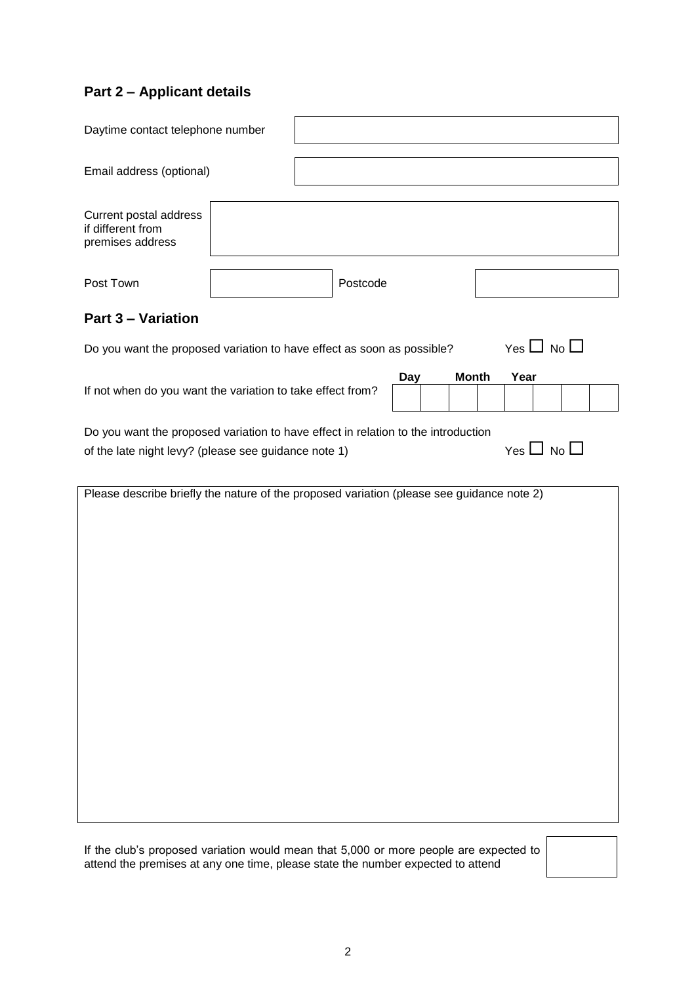## **Part 2 – Applicant details**

| Daytime contact telephone number                                                                                                                                         |                                                                                                                                                                                                                                                                |  |          |     |              |  |                      |  |  |
|--------------------------------------------------------------------------------------------------------------------------------------------------------------------------|----------------------------------------------------------------------------------------------------------------------------------------------------------------------------------------------------------------------------------------------------------------|--|----------|-----|--------------|--|----------------------|--|--|
| Email address (optional)                                                                                                                                                 |                                                                                                                                                                                                                                                                |  |          |     |              |  |                      |  |  |
| Current postal address<br>if different from<br>premises address                                                                                                          |                                                                                                                                                                                                                                                                |  |          |     |              |  |                      |  |  |
| Post Town                                                                                                                                                                |                                                                                                                                                                                                                                                                |  | Postcode |     |              |  |                      |  |  |
| <b>Part 3 - Variation</b>                                                                                                                                                |                                                                                                                                                                                                                                                                |  |          |     |              |  |                      |  |  |
| Do you want the proposed variation to have effect as soon as possible?                                                                                                   |                                                                                                                                                                                                                                                                |  |          |     |              |  | Yes $\Box$ No $\Box$ |  |  |
| If not when do you want the variation to take effect from?                                                                                                               |                                                                                                                                                                                                                                                                |  |          | Day | <b>Month</b> |  | Year                 |  |  |
|                                                                                                                                                                          | Do you want the proposed variation to have effect in relation to the introduction<br>Yes $\Box$ No $\Box$<br>of the late night levy? (please see guidance note 1)<br>Please describe briefly the nature of the proposed variation (please see guidance note 2) |  |          |     |              |  |                      |  |  |
|                                                                                                                                                                          |                                                                                                                                                                                                                                                                |  |          |     |              |  |                      |  |  |
|                                                                                                                                                                          |                                                                                                                                                                                                                                                                |  |          |     |              |  |                      |  |  |
|                                                                                                                                                                          |                                                                                                                                                                                                                                                                |  |          |     |              |  |                      |  |  |
|                                                                                                                                                                          |                                                                                                                                                                                                                                                                |  |          |     |              |  |                      |  |  |
|                                                                                                                                                                          |                                                                                                                                                                                                                                                                |  |          |     |              |  |                      |  |  |
|                                                                                                                                                                          |                                                                                                                                                                                                                                                                |  |          |     |              |  |                      |  |  |
|                                                                                                                                                                          |                                                                                                                                                                                                                                                                |  |          |     |              |  |                      |  |  |
|                                                                                                                                                                          |                                                                                                                                                                                                                                                                |  |          |     |              |  |                      |  |  |
|                                                                                                                                                                          |                                                                                                                                                                                                                                                                |  |          |     |              |  |                      |  |  |
| If the club's proposed variation would mean that 5,000 or more people are expected to<br>attend the premises at any one time, please state the number expected to attend |                                                                                                                                                                                                                                                                |  |          |     |              |  |                      |  |  |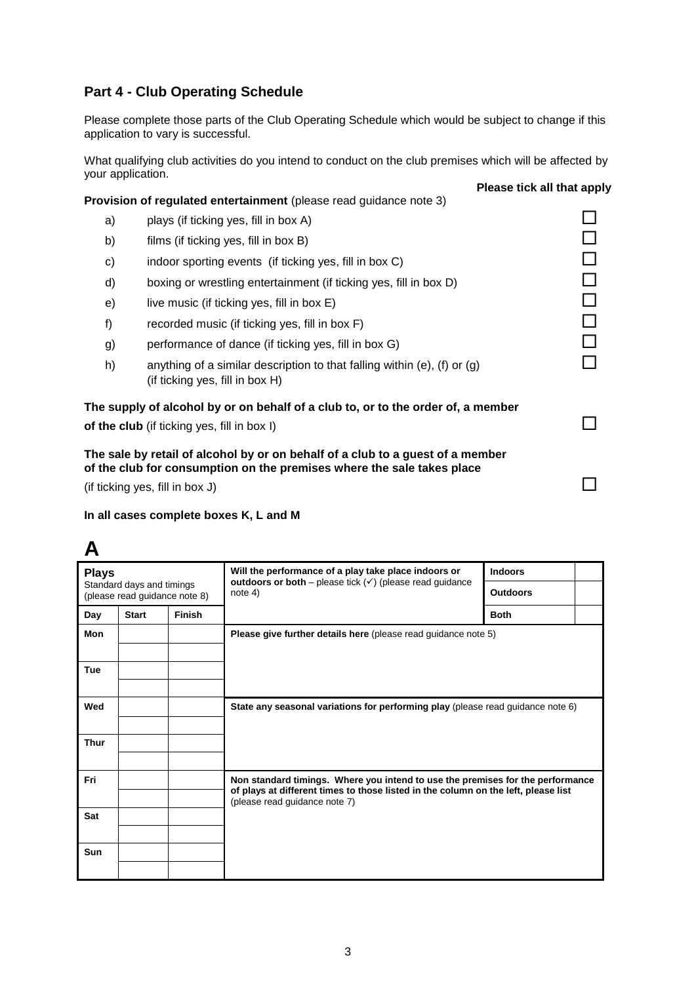### **Part 4 - Club Operating Schedule**

Please complete those parts of the Club Operating Schedule which would be subject to change if this application to vary is successful.

What qualifying club activities do you intend to conduct on the club premises which will be affected by your application.

**Please tick all that apply**

#### **Provision of regulated entertainment** (please read guidance note 3)

- a) plays (if ticking yes, fill in box A)  $\Box$
- b) films (if ticking yes, fill in box B)
- c) indoor sporting events (if ticking yes, fill in box C)  $\Box$
- d) boxing or wrestling entertainment (if ticking yes, fill in box D)
- e) live music (if ticking yes, fill in box E)  $\Box$
- f) recorded music (if ticking yes, fill in box  $F$ )  $\Box$
- g) performance of dance (if ticking yes, fill in box G)  $\Box$
- h) anything of a similar description to that falling within (e), (f) or (g)  $\Box$ (if ticking yes, fill in box H)

#### **The supply of alcohol by or on behalf of a club to, or to the order of, a member**

**of the club** (if ticking yes, fill in box Ⅰ) **a** 

#### **The sale by retail of alcohol by or on behalf of a club to a guest of a member of the club for consumption on the premises where the sale takes place**

 $(i$ f ticking yes, fill in box J $)$ 

#### **In all cases complete boxes K, L and M**



| <b>Plays</b><br>Standard days and timings |                               |               | Will the performance of a play take place indoors or<br>outdoors or both – please tick $(v)$ (please read guidance                                                                                    | <b>Indoors</b>  |  |  |
|-------------------------------------------|-------------------------------|---------------|-------------------------------------------------------------------------------------------------------------------------------------------------------------------------------------------------------|-----------------|--|--|
|                                           | (please read guidance note 8) |               | note $4)$                                                                                                                                                                                             | <b>Outdoors</b> |  |  |
| Day                                       | <b>Start</b>                  | <b>Finish</b> |                                                                                                                                                                                                       | <b>Both</b>     |  |  |
| Mon                                       |                               |               | Please give further details here (please read guidance note 5)                                                                                                                                        |                 |  |  |
| Tue                                       |                               |               |                                                                                                                                                                                                       |                 |  |  |
| Wed                                       |                               |               | State any seasonal variations for performing play (please read guidance note 6)                                                                                                                       |                 |  |  |
| <b>Thur</b>                               |                               |               |                                                                                                                                                                                                       |                 |  |  |
| Fri                                       |                               |               | Non standard timings. Where you intend to use the premises for the performance<br>of plays at different times to those listed in the column on the left, please list<br>(please read guidance note 7) |                 |  |  |
| Sat                                       |                               |               |                                                                                                                                                                                                       |                 |  |  |
| Sun                                       |                               |               |                                                                                                                                                                                                       |                 |  |  |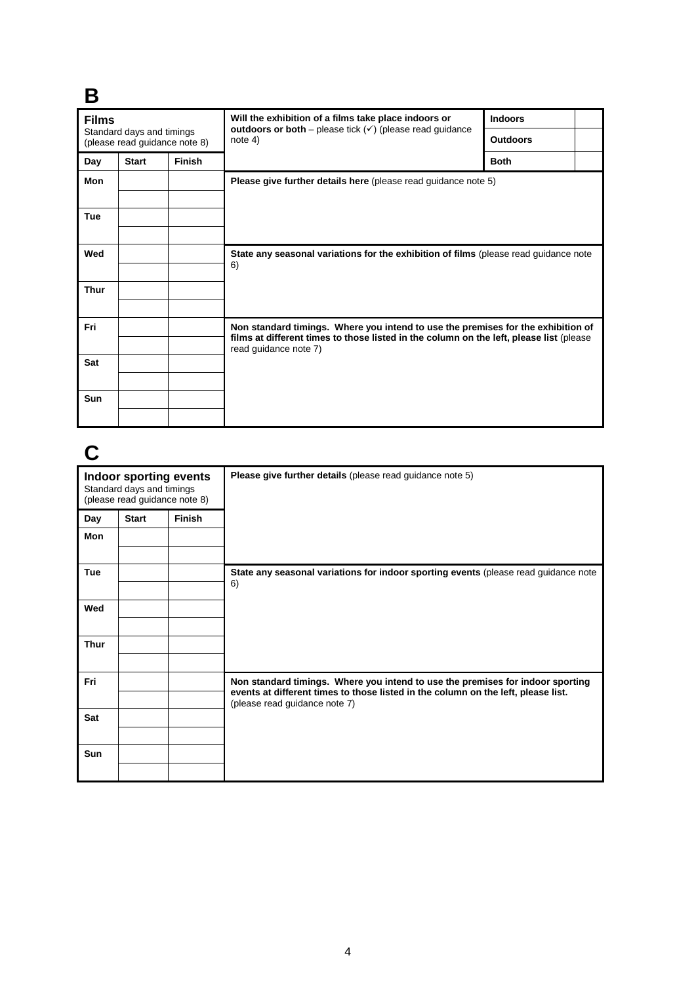# **B**

| <b>Films</b>                                               |              |               | Will the exhibition of a films take place indoors or                                                                                                                                                 | <b>Indoors</b>  |  |
|------------------------------------------------------------|--------------|---------------|------------------------------------------------------------------------------------------------------------------------------------------------------------------------------------------------------|-----------------|--|
| Standard days and timings<br>(please read guidance note 8) |              |               | outdoors or both – please tick $(v)$ (please read guidance<br>note 4)                                                                                                                                | <b>Outdoors</b> |  |
| Day                                                        | <b>Start</b> | <b>Finish</b> |                                                                                                                                                                                                      | <b>Both</b>     |  |
| <b>Mon</b>                                                 |              |               | Please give further details here (please read guidance note 5)                                                                                                                                       |                 |  |
| <b>Tue</b>                                                 |              |               |                                                                                                                                                                                                      |                 |  |
| Wed                                                        |              |               | State any seasonal variations for the exhibition of films (please read guidance note<br>6)                                                                                                           |                 |  |
| <b>Thur</b>                                                |              |               |                                                                                                                                                                                                      |                 |  |
| Fri                                                        |              |               | Non standard timings. Where you intend to use the premises for the exhibition of<br>films at different times to those listed in the column on the left, please list (please<br>read guidance note 7) |                 |  |
| Sat                                                        |              |               |                                                                                                                                                                                                      |                 |  |
| Sun                                                        |              |               |                                                                                                                                                                                                      |                 |  |

# **C**

| Indoor sporting events<br>Standard days and timings<br>(please read guidance note 8) |              |               | Please give further details (please read guidance note 5)                                                                                                                                            |
|--------------------------------------------------------------------------------------|--------------|---------------|------------------------------------------------------------------------------------------------------------------------------------------------------------------------------------------------------|
| Day                                                                                  | <b>Start</b> | <b>Finish</b> |                                                                                                                                                                                                      |
| Mon                                                                                  |              |               |                                                                                                                                                                                                      |
| <b>Tue</b>                                                                           |              |               | State any seasonal variations for indoor sporting events (please read guidance note<br>6)                                                                                                            |
| Wed                                                                                  |              |               |                                                                                                                                                                                                      |
| <b>Thur</b>                                                                          |              |               |                                                                                                                                                                                                      |
| Fri                                                                                  |              |               | Non standard timings. Where you intend to use the premises for indoor sporting<br>events at different times to those listed in the column on the left, please list.<br>(please read guidance note 7) |
| Sat                                                                                  |              |               |                                                                                                                                                                                                      |
| <b>Sun</b>                                                                           |              |               |                                                                                                                                                                                                      |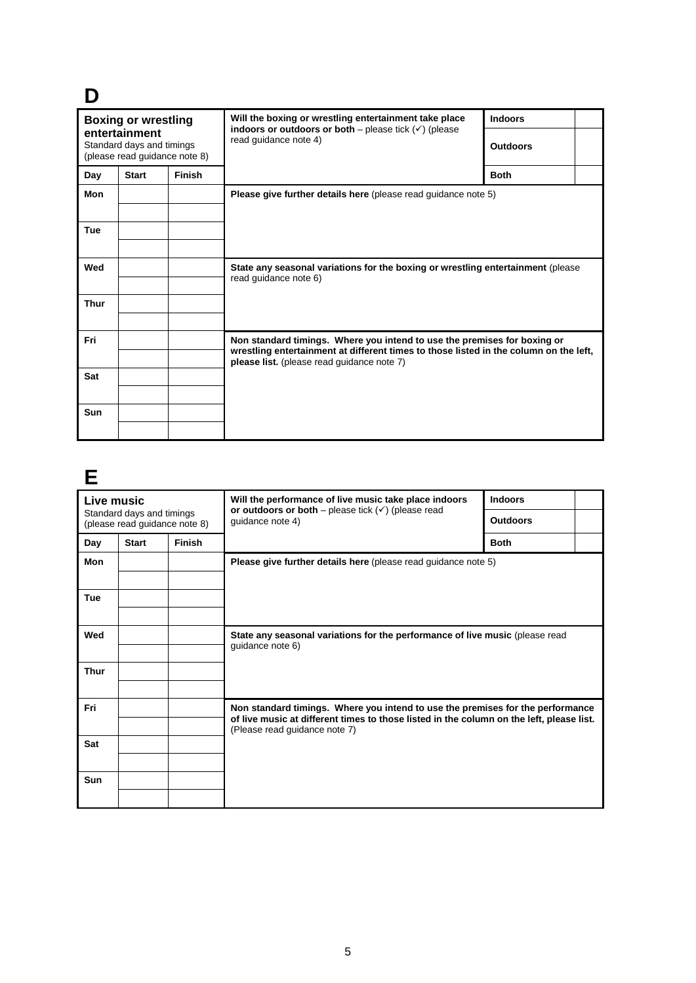# **D**

| <b>Boxing or wrestling</b>                                                  |              |               | Will the boxing or wrestling entertainment take place                                                                                                                                                           | <b>Indoors</b>  |  |
|-----------------------------------------------------------------------------|--------------|---------------|-----------------------------------------------------------------------------------------------------------------------------------------------------------------------------------------------------------------|-----------------|--|
| entertainment<br>Standard days and timings<br>(please read guidance note 8) |              |               | indoors or outdoors or both – please tick $(\checkmark)$ (please<br>read guidance note 4)                                                                                                                       | <b>Outdoors</b> |  |
| Day                                                                         | <b>Start</b> | <b>Finish</b> |                                                                                                                                                                                                                 | <b>Both</b>     |  |
| Mon                                                                         |              |               | Please give further details here (please read guidance note 5)                                                                                                                                                  |                 |  |
| <b>Tue</b>                                                                  |              |               |                                                                                                                                                                                                                 |                 |  |
| Wed                                                                         |              |               | State any seasonal variations for the boxing or wrestling entertainment (please<br>read guidance note 6)                                                                                                        |                 |  |
| <b>Thur</b>                                                                 |              |               |                                                                                                                                                                                                                 |                 |  |
| Fri                                                                         |              |               | Non standard timings. Where you intend to use the premises for boxing or<br>wrestling entertainment at different times to those listed in the column on the left,<br>please list. (please read guidance note 7) |                 |  |
| Sat                                                                         |              |               |                                                                                                                                                                                                                 |                 |  |
| Sun                                                                         |              |               |                                                                                                                                                                                                                 |                 |  |

## **E**

| Live music<br>Standard days and timings |              |               | Will the performance of live music take place indoors<br>or outdoors or both – please tick $(\checkmark)$ (please read                                                                                      | <b>Indoors</b>  |  |  |
|-----------------------------------------|--------------|---------------|-------------------------------------------------------------------------------------------------------------------------------------------------------------------------------------------------------------|-----------------|--|--|
| (please read guidance note 8)           |              |               | guidance note 4)                                                                                                                                                                                            | <b>Outdoors</b> |  |  |
| Day                                     | <b>Start</b> | <b>Finish</b> |                                                                                                                                                                                                             | <b>Both</b>     |  |  |
| <b>Mon</b>                              |              |               | <b>Please give further details here</b> (please read guidance note 5)                                                                                                                                       |                 |  |  |
| <b>Tue</b>                              |              |               |                                                                                                                                                                                                             |                 |  |  |
| Wed                                     |              |               | State any seasonal variations for the performance of live music (please read<br>guidance note 6)                                                                                                            |                 |  |  |
| <b>Thur</b>                             |              |               |                                                                                                                                                                                                             |                 |  |  |
| Fri                                     |              |               | Non standard timings. Where you intend to use the premises for the performance<br>of live music at different times to those listed in the column on the left, please list.<br>(Please read guidance note 7) |                 |  |  |
| Sat                                     |              |               |                                                                                                                                                                                                             |                 |  |  |
| Sun                                     |              |               |                                                                                                                                                                                                             |                 |  |  |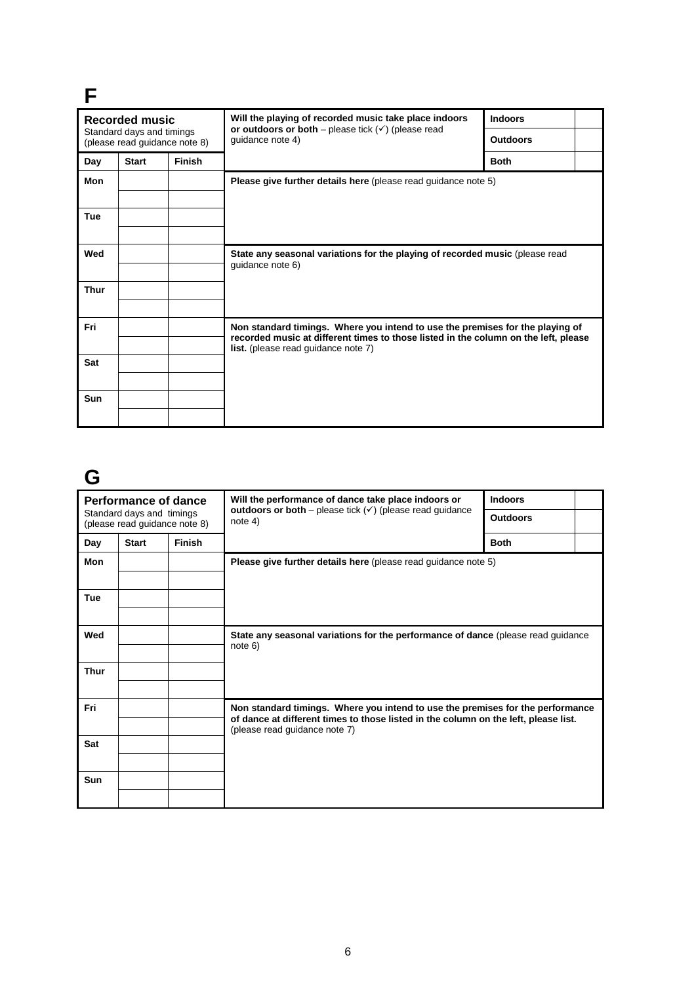| <b>Recorded music</b> |                           |                               | Will the playing of recorded music take place indoors<br>or outdoors or both – please tick $(\checkmark)$ (please read                                                                                             | <b>Indoors</b>  |  |  |
|-----------------------|---------------------------|-------------------------------|--------------------------------------------------------------------------------------------------------------------------------------------------------------------------------------------------------------------|-----------------|--|--|
|                       | Standard days and timings | (please read guidance note 8) | guidance note 4)                                                                                                                                                                                                   | <b>Outdoors</b> |  |  |
| Day                   | <b>Start</b>              | <b>Finish</b>                 |                                                                                                                                                                                                                    | <b>Both</b>     |  |  |
| Mon                   |                           |                               | Please give further details here (please read guidance note 5)                                                                                                                                                     |                 |  |  |
| <b>Tue</b>            |                           |                               |                                                                                                                                                                                                                    |                 |  |  |
| Wed                   |                           |                               | State any seasonal variations for the playing of recorded music (please read<br>guidance note 6)                                                                                                                   |                 |  |  |
| <b>Thur</b>           |                           |                               |                                                                                                                                                                                                                    |                 |  |  |
| Fri                   |                           |                               | Non standard timings. Where you intend to use the premises for the playing of<br>recorded music at different times to those listed in the column on the left, please<br><b>list.</b> (please read guidance note 7) |                 |  |  |
| Sat                   |                           |                               |                                                                                                                                                                                                                    |                 |  |  |
| Sun                   |                           |                               |                                                                                                                                                                                                                    |                 |  |  |

# **G**

| Performance of dance                                       |              |               | Will the performance of dance take place indoors or<br>outdoors or both – please tick $(v)$ (please read guidance                                                                                      | <b>Indoors</b>  |  |  |
|------------------------------------------------------------|--------------|---------------|--------------------------------------------------------------------------------------------------------------------------------------------------------------------------------------------------------|-----------------|--|--|
| Standard days and timings<br>(please read guidance note 8) |              |               | note 4)                                                                                                                                                                                                | <b>Outdoors</b> |  |  |
| Day                                                        | <b>Start</b> | <b>Finish</b> |                                                                                                                                                                                                        | <b>Both</b>     |  |  |
| <b>Mon</b>                                                 |              |               | Please give further details here (please read guidance note 5)                                                                                                                                         |                 |  |  |
| <b>Tue</b>                                                 |              |               |                                                                                                                                                                                                        |                 |  |  |
| Wed                                                        |              |               | State any seasonal variations for the performance of dance (please read guidance<br>note 6)                                                                                                            |                 |  |  |
| <b>Thur</b>                                                |              |               |                                                                                                                                                                                                        |                 |  |  |
| Fri                                                        |              |               | Non standard timings. Where you intend to use the premises for the performance<br>of dance at different times to those listed in the column on the left, please list.<br>(please read guidance note 7) |                 |  |  |
| Sat                                                        |              |               |                                                                                                                                                                                                        |                 |  |  |
| Sun                                                        |              |               |                                                                                                                                                                                                        |                 |  |  |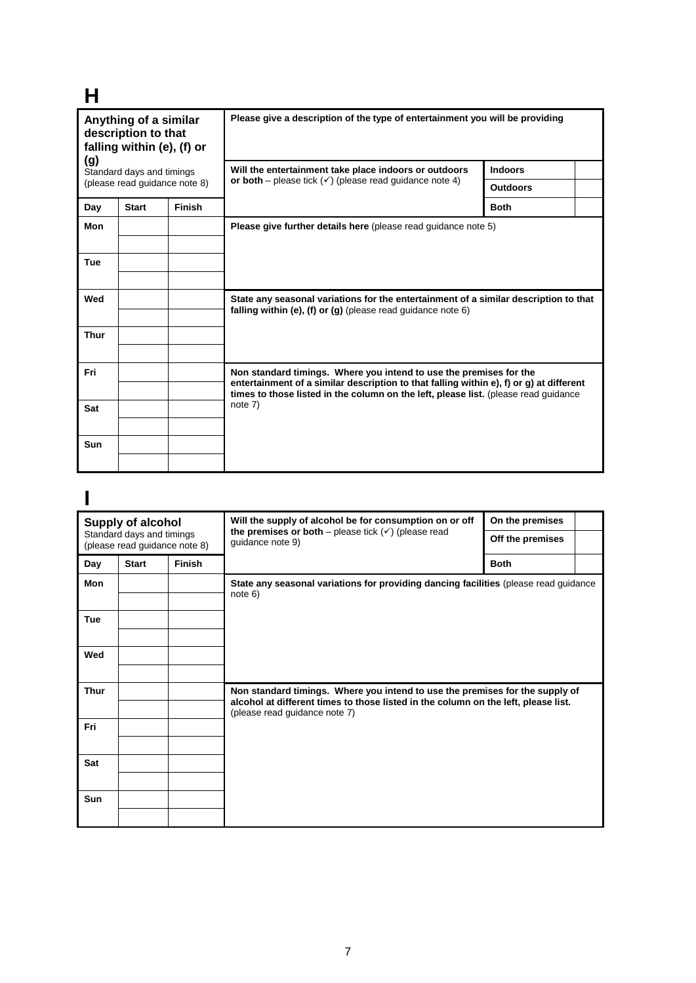# **H**

| Anything of a similar<br>description to that<br>falling within (e), (f) or<br>(g)<br>Standard days and timings<br>(please read guidance note 8) |              |               | Please give a description of the type of entertainment you will be providing                                                                                                                                                                         |                 |  |  |  |
|-------------------------------------------------------------------------------------------------------------------------------------------------|--------------|---------------|------------------------------------------------------------------------------------------------------------------------------------------------------------------------------------------------------------------------------------------------------|-----------------|--|--|--|
|                                                                                                                                                 |              |               | <b>Indoors</b><br>Will the entertainment take place indoors or outdoors                                                                                                                                                                              |                 |  |  |  |
|                                                                                                                                                 |              |               | or both – please tick $(\checkmark)$ (please read quidance note 4)                                                                                                                                                                                   | <b>Outdoors</b> |  |  |  |
| Day                                                                                                                                             | <b>Start</b> | <b>Finish</b> |                                                                                                                                                                                                                                                      | <b>Both</b>     |  |  |  |
| Mon                                                                                                                                             |              |               | <b>Please give further details here</b> (please read guidance note 5)                                                                                                                                                                                |                 |  |  |  |
| <b>Tue</b>                                                                                                                                      |              |               |                                                                                                                                                                                                                                                      |                 |  |  |  |
| Wed                                                                                                                                             |              |               | State any seasonal variations for the entertainment of a similar description to that<br>falling within (e), (f) or (g) (please read guidance note $6$ )                                                                                              |                 |  |  |  |
| <b>Thur</b>                                                                                                                                     |              |               |                                                                                                                                                                                                                                                      |                 |  |  |  |
| Fri                                                                                                                                             |              |               | Non standard timings. Where you intend to use the premises for the<br>entertainment of a similar description to that falling within e), f) or g) at different<br>times to those listed in the column on the left, please list. (please read guidance |                 |  |  |  |
| Sat                                                                                                                                             |              |               | note 7)                                                                                                                                                                                                                                              |                 |  |  |  |
| Sun                                                                                                                                             |              |               |                                                                                                                                                                                                                                                      |                 |  |  |  |

# **I**

| <b>Supply of alcohol</b><br>Standard days and timings<br>(please read guidance note 8) |              |               | Will the supply of alcohol be for consumption on or off<br>the premises or both - please tick $(\checkmark)$ (please read<br>guidance note 9)                                                       | On the premises<br>Off the premises |  |
|----------------------------------------------------------------------------------------|--------------|---------------|-----------------------------------------------------------------------------------------------------------------------------------------------------------------------------------------------------|-------------------------------------|--|
| Day                                                                                    | <b>Start</b> | <b>Finish</b> |                                                                                                                                                                                                     | <b>Both</b>                         |  |
| Mon                                                                                    |              |               | State any seasonal variations for providing dancing facilities (please read guidance<br>note 6)                                                                                                     |                                     |  |
| <b>Tue</b>                                                                             |              |               |                                                                                                                                                                                                     |                                     |  |
| Wed                                                                                    |              |               |                                                                                                                                                                                                     |                                     |  |
| <b>Thur</b>                                                                            |              |               | Non standard timings. Where you intend to use the premises for the supply of<br>alcohol at different times to those listed in the column on the left, please list.<br>(please read guidance note 7) |                                     |  |
| Fri                                                                                    |              |               |                                                                                                                                                                                                     |                                     |  |
| Sat                                                                                    |              |               |                                                                                                                                                                                                     |                                     |  |
| Sun                                                                                    |              |               |                                                                                                                                                                                                     |                                     |  |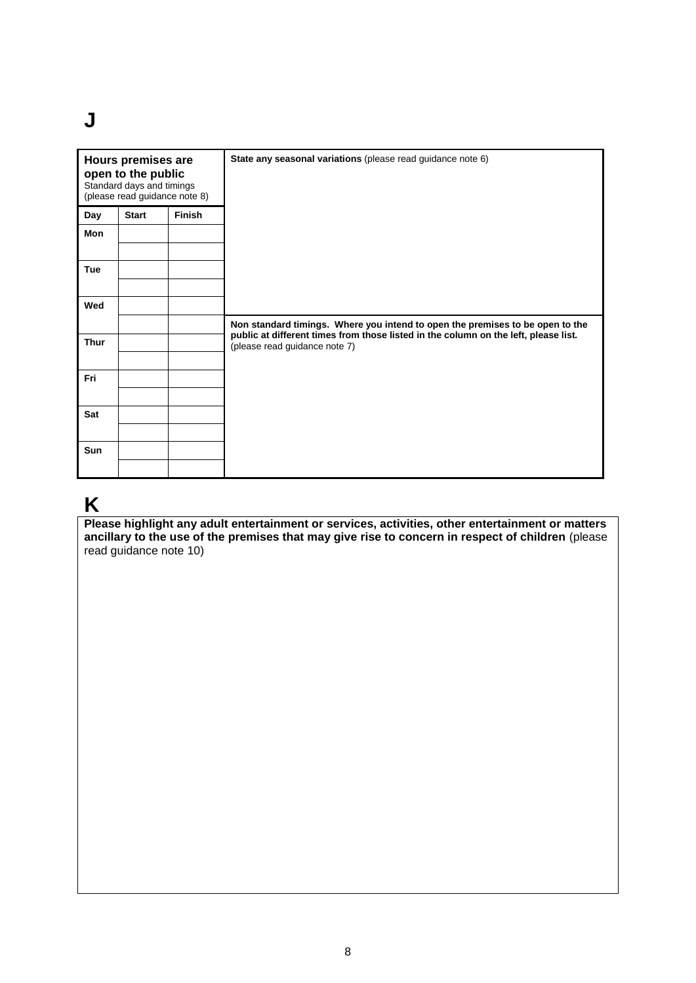# **J**

| <b>Hours premises are</b><br>open to the public<br>Standard days and timings<br>(please read guidance note 8) |              |               | State any seasonal variations (please read guidance note 6)                                                                                                                                           |
|---------------------------------------------------------------------------------------------------------------|--------------|---------------|-------------------------------------------------------------------------------------------------------------------------------------------------------------------------------------------------------|
| Day                                                                                                           | <b>Start</b> | <b>Finish</b> |                                                                                                                                                                                                       |
| Mon                                                                                                           |              |               | Non standard timings. Where you intend to open the premises to be open to the<br>public at different times from those listed in the column on the left, please list.<br>(please read guidance note 7) |
| <b>Tue</b>                                                                                                    |              |               |                                                                                                                                                                                                       |
| Wed                                                                                                           |              |               |                                                                                                                                                                                                       |
|                                                                                                               |              |               |                                                                                                                                                                                                       |
| <b>Thur</b>                                                                                                   |              |               |                                                                                                                                                                                                       |
| Fri                                                                                                           |              |               |                                                                                                                                                                                                       |
| Sat                                                                                                           |              |               |                                                                                                                                                                                                       |
| Sun                                                                                                           |              |               |                                                                                                                                                                                                       |

### **K**

**Please highlight any adult entertainment or services, activities, other entertainment or matters ancillary to the use of the premises that may give rise to concern in respect of children** (please read guidance note 10)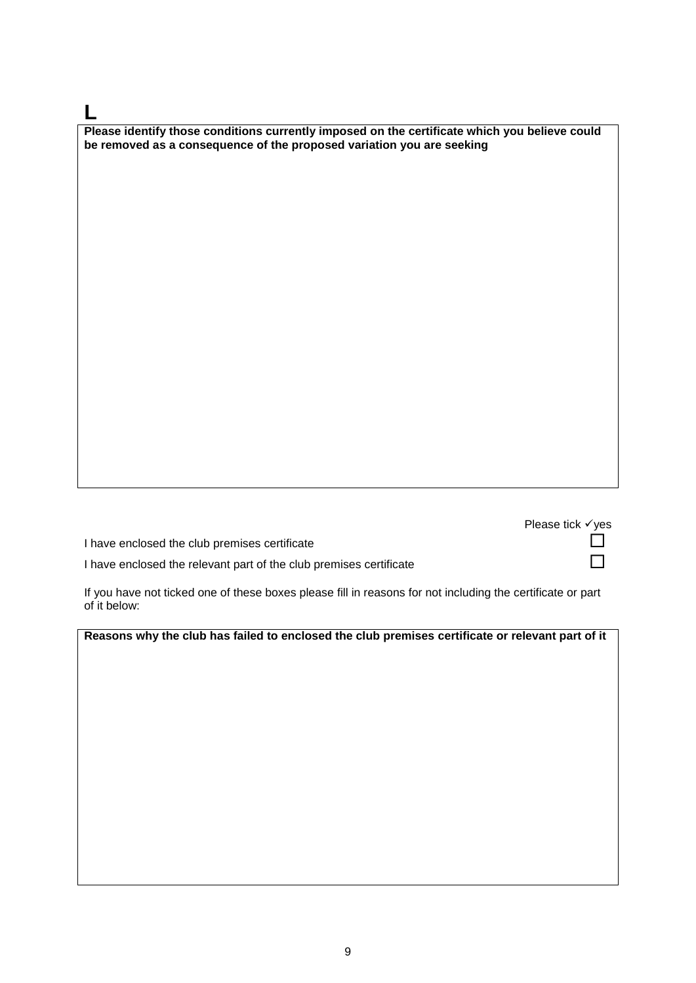## **L**

**Please identify those conditions currently imposed on the certificate which you believe could be removed as a consequence of the proposed variation you are seeking**

Please tick  $\checkmark$  yes

I have enclosed the club premises certificate  $\Box$ 

I have enclosed the relevant part of the club premises certificate  $\Box$ 

If you have not ticked one of these boxes please fill in reasons for not including the certificate or part of it below:

**Reasons why the club has failed to enclosed the club premises certificate or relevant part of it**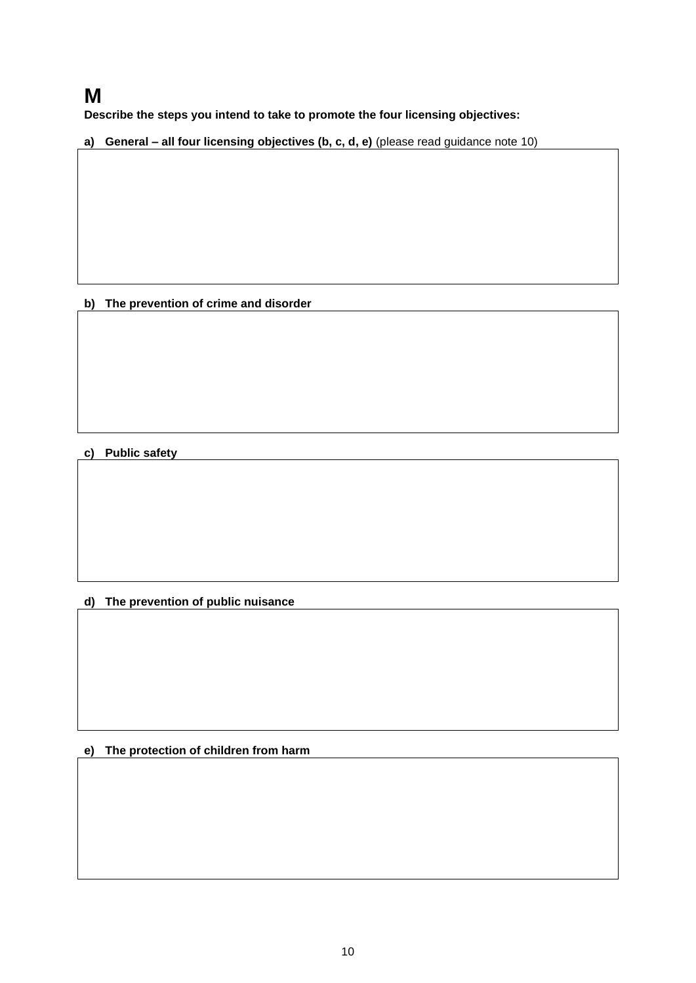## **M**

**Describe the steps you intend to take to promote the four licensing objectives:**

**a) General – all four licensing objectives (b, c, d, e)** (please read guidance note 10)

### **b) The prevention of crime and disorder**

#### **c) Public safety**

### **d) The prevention of public nuisance**

#### **e) The protection of children from harm**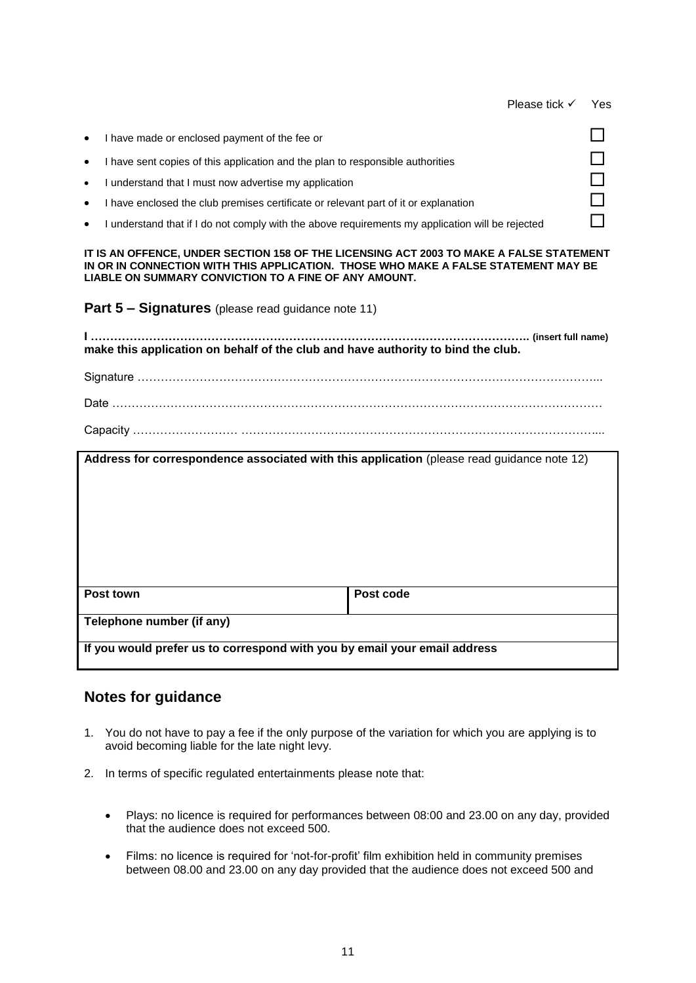| $\bullet$                                                                                                                                                                                                                                                                                           | I have made or enclosed payment of the fee or                                                    |  |  |  |  |  |
|-----------------------------------------------------------------------------------------------------------------------------------------------------------------------------------------------------------------------------------------------------------------------------------------------------|--------------------------------------------------------------------------------------------------|--|--|--|--|--|
|                                                                                                                                                                                                                                                                                                     | I have sent copies of this application and the plan to responsible authorities                   |  |  |  |  |  |
|                                                                                                                                                                                                                                                                                                     | I understand that I must now advertise my application                                            |  |  |  |  |  |
|                                                                                                                                                                                                                                                                                                     | I have enclosed the club premises certificate or relevant part of it or explanation              |  |  |  |  |  |
| $\bullet$                                                                                                                                                                                                                                                                                           | I understand that if I do not comply with the above requirements my application will be rejected |  |  |  |  |  |
| IT IS AN OFFENCE, UNDER SECTION 158 OF THE LICENSING ACT 2003 TO MAKE A FALSE STATEMENT<br>IN OR IN CONNECTION WITH THIS APPLICATION. THOSE WHO MAKE A FALSE STATEMENT MAY BE<br>LIABLE ON SUMMARY CONVICTION TO A FINE OF ANY AMOUNT.<br><b>Part 5 – Signatures</b> (please read guidance note 11) |                                                                                                  |  |  |  |  |  |
|                                                                                                                                                                                                                                                                                                     |                                                                                                  |  |  |  |  |  |
|                                                                                                                                                                                                                                                                                                     | make this application on behalf of the club and have authority to bind the club.                 |  |  |  |  |  |
|                                                                                                                                                                                                                                                                                                     |                                                                                                  |  |  |  |  |  |
|                                                                                                                                                                                                                                                                                                     |                                                                                                  |  |  |  |  |  |

Please tick  $\checkmark$  Yes

| Address for correspondence associated with this application (please read guidance note 12) |           |  |  |  |
|--------------------------------------------------------------------------------------------|-----------|--|--|--|
|                                                                                            |           |  |  |  |
| Post town                                                                                  | Post code |  |  |  |
| Telephone number (if any)                                                                  |           |  |  |  |
| If you would prefer us to correspond with you by email your email address                  |           |  |  |  |

### **Notes for guidance**

- 1. You do not have to pay a fee if the only purpose of the variation for which you are applying is to avoid becoming liable for the late night levy.
- 2. In terms of specific regulated entertainments please note that:
	- Plays: no licence is required for performances between 08:00 and 23.00 on any day, provided that the audience does not exceed 500.
	- Films: no licence is required for 'not-for-profit' film exhibition held in community premises between 08.00 and 23.00 on any day provided that the audience does not exceed 500 and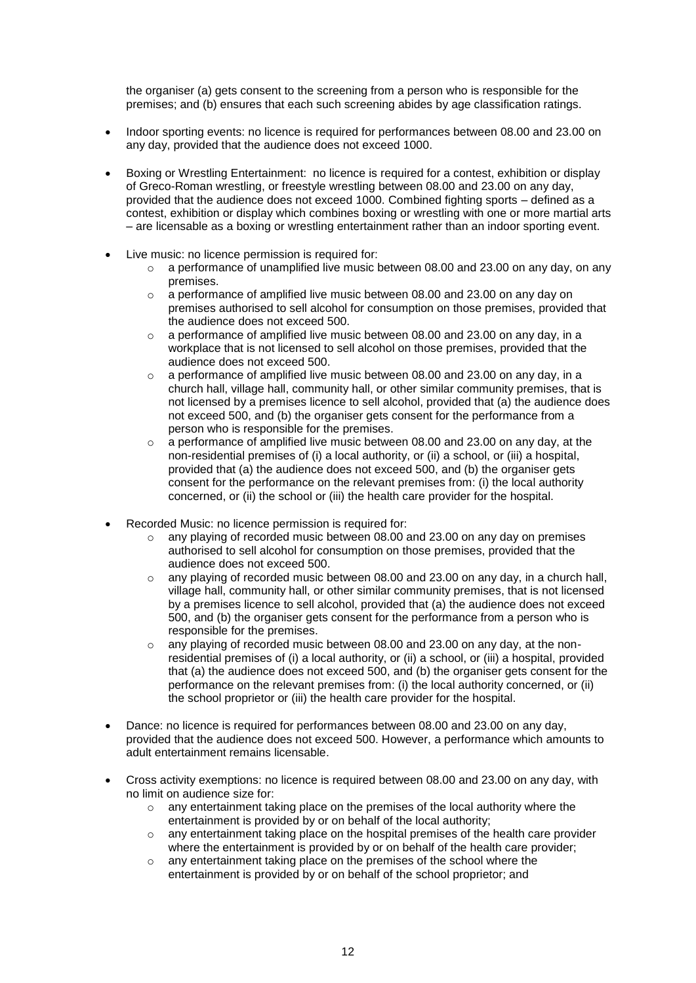the organiser (a) gets consent to the screening from a person who is responsible for the premises; and (b) ensures that each such screening abides by age classification ratings.

- Indoor sporting events: no licence is required for performances between 08.00 and 23.00 on any day, provided that the audience does not exceed 1000.
- Boxing or Wrestling Entertainment: no licence is required for a contest, exhibition or display of Greco-Roman wrestling, or freestyle wrestling between 08.00 and 23.00 on any day, provided that the audience does not exceed 1000. Combined fighting sports – defined as a contest, exhibition or display which combines boxing or wrestling with one or more martial arts – are licensable as a boxing or wrestling entertainment rather than an indoor sporting event.
- Live music: no licence permission is required for:
	- o a performance of unamplified live music between 08.00 and 23.00 on any day, on any premises.
	- a performance of amplified live music between 08.00 and 23.00 on any day on premises authorised to sell alcohol for consumption on those premises, provided that the audience does not exceed 500.
	- $\circ$  a performance of amplified live music between 08.00 and 23.00 on any day, in a workplace that is not licensed to sell alcohol on those premises, provided that the audience does not exceed 500.
	- $\circ$  a performance of amplified live music between 08.00 and 23.00 on any day, in a church hall, village hall, community hall, or other similar community premises, that is not licensed by a premises licence to sell alcohol, provided that (a) the audience does not exceed 500, and (b) the organiser gets consent for the performance from a person who is responsible for the premises.
	- $\circ$  a performance of amplified live music between 08.00 and 23.00 on any day, at the non-residential premises of (i) a local authority, or (ii) a school, or (iii) a hospital, provided that (a) the audience does not exceed 500, and (b) the organiser gets consent for the performance on the relevant premises from: (i) the local authority concerned, or (ii) the school or (iii) the health care provider for the hospital.
- Recorded Music: no licence permission is required for:
	- any playing of recorded music between 08.00 and 23.00 on any day on premises authorised to sell alcohol for consumption on those premises, provided that the audience does not exceed 500.
	- $\circ$  any playing of recorded music between 08.00 and 23.00 on any day, in a church hall, village hall, community hall, or other similar community premises, that is not licensed by a premises licence to sell alcohol, provided that (a) the audience does not exceed 500, and (b) the organiser gets consent for the performance from a person who is responsible for the premises.
	- o any playing of recorded music between 08.00 and 23.00 on any day, at the nonresidential premises of (i) a local authority, or (ii) a school, or (iii) a hospital, provided that (a) the audience does not exceed 500, and (b) the organiser gets consent for the performance on the relevant premises from: (i) the local authority concerned, or (ii) the school proprietor or (iii) the health care provider for the hospital.
- Dance: no licence is required for performances between 08.00 and 23.00 on any day, provided that the audience does not exceed 500. However, a performance which amounts to adult entertainment remains licensable.
- Cross activity exemptions: no licence is required between 08.00 and 23.00 on any day, with no limit on audience size for:
	- o any entertainment taking place on the premises of the local authority where the entertainment is provided by or on behalf of the local authority;
	- $\circ$  any entertainment taking place on the hospital premises of the health care provider where the entertainment is provided by or on behalf of the health care provider;
	- o any entertainment taking place on the premises of the school where the entertainment is provided by or on behalf of the school proprietor; and